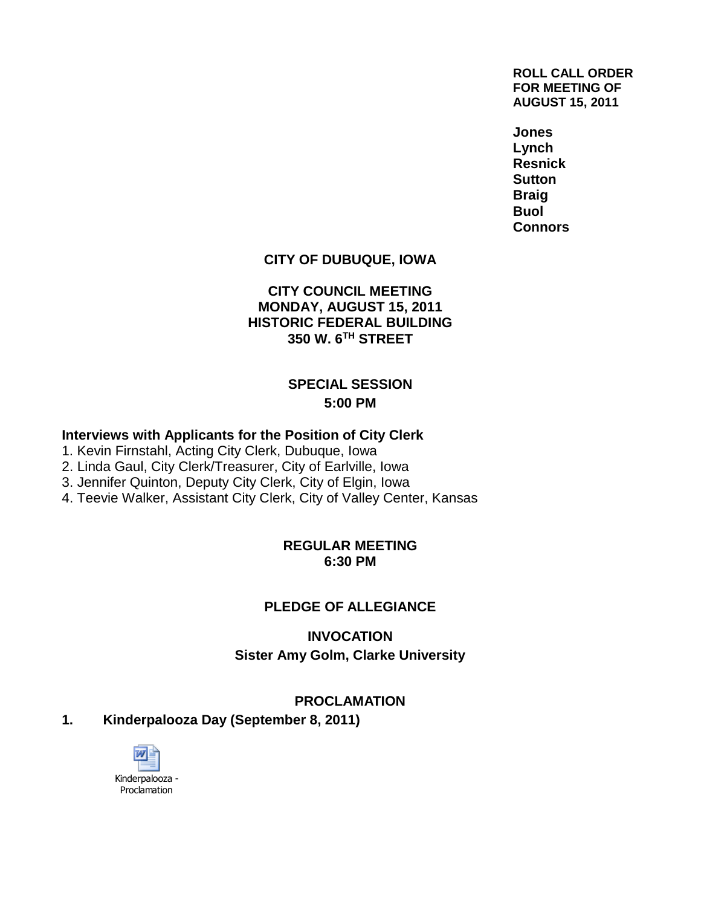#### **ROLL CALL ORDER FOR MEETING OF AUGUST 15, 2011**

**Jones Lynch Resnick Sutton Braig Buol Connors**

#### **CITY OF DUBUQUE, IOWA**

#### **CITY COUNCIL MEETING MONDAY, AUGUST 15, 2011 HISTORIC FEDERAL BUILDING 350 W. 6TH STREET**

### **SPECIAL SESSION 5:00 PM**

#### **Interviews with Applicants for the Position of City Clerk**

1. Kevin Firnstahl, Acting City Clerk, Dubuque, Iowa

2. Linda Gaul, City Clerk/Treasurer, City of Earlville, Iowa

3. Jennifer Quinton, Deputy City Clerk, City of Elgin, Iowa

4. Teevie Walker, Assistant City Clerk, City of Valley Center, Kansas

#### **REGULAR MEETING 6:30 PM**

#### **PLEDGE OF ALLEGIANCE**

#### **INVOCATION**

**Sister Amy Golm, Clarke University**

#### **PROCLAMATION**

#### **1. Kinderpalooza Day (September 8, 2011)**

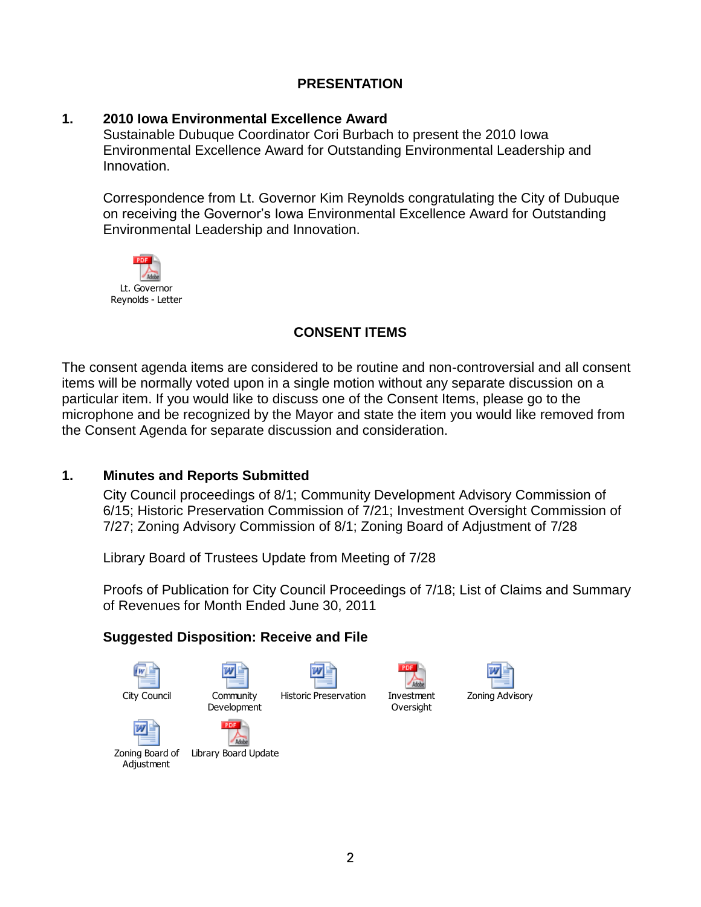# **PRESENTATION**

#### **1. 2010 Iowa Environmental Excellence Award**

Sustainable Dubuque Coordinator Cori Burbach to present the 2010 Iowa Environmental Excellence Award for Outstanding Environmental Leadership and Innovation.

Correspondence from Lt. Governor Kim Reynolds congratulating the City of Dubuque on receiving the Governor's Iowa Environmental Excellence Award for Outstanding Environmental Leadership and Innovation.



### **CONSENT ITEMS**

The consent agenda items are considered to be routine and non-controversial and all consent items will be normally voted upon in a single motion without any separate discussion on a particular item. If you would like to discuss one of the Consent Items, please go to the microphone and be recognized by the Mayor and state the item you would like removed from the Consent Agenda for separate discussion and consideration.

#### **1. Minutes and Reports Submitted**

City Council proceedings of 8/1; Community Development Advisory Commission of 6/15; Historic Preservation Commission of 7/21; Investment Oversight Commission of 7/27; Zoning Advisory Commission of 8/1; Zoning Board of Adjustment of 7/28

Library Board of Trustees Update from Meeting of 7/28

Proofs of Publication for City Council Proceedings of 7/18; List of Claims and Summary of Revenues for Month Ended June 30, 2011

#### **Suggested Disposition: Receive and File**





Development









City Council Community



Zoning Board of Library Board UpdateAdjustment

**2**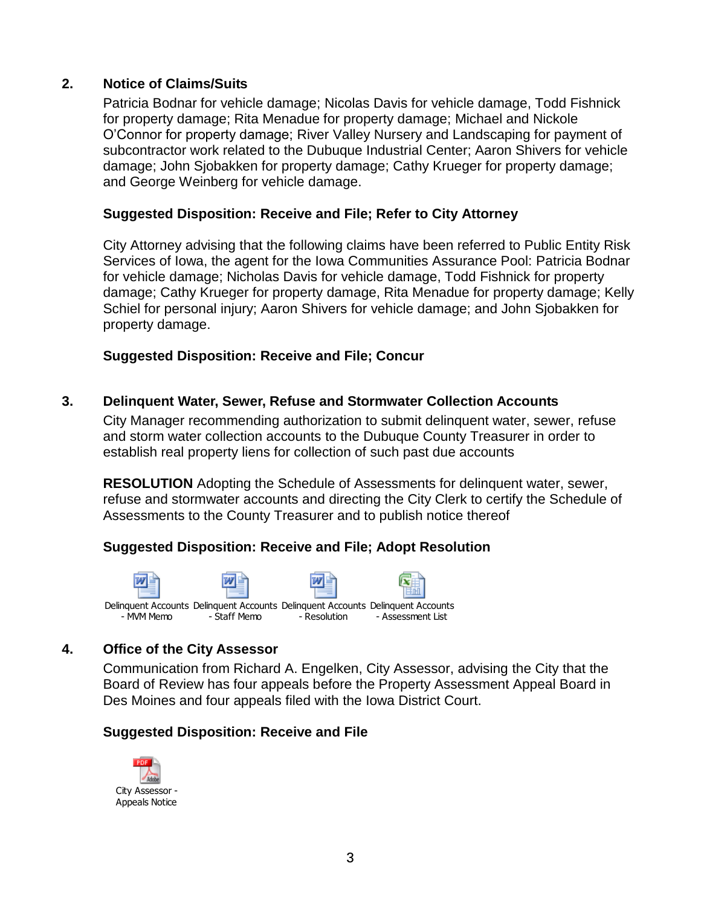#### **2. Notice of Claims/Suits**

Patricia Bodnar for vehicle damage; Nicolas Davis for vehicle damage, Todd Fishnick for property damage; Rita Menadue for property damage; Michael and Nickole O'Connor for property damage; River Valley Nursery and Landscaping for payment of subcontractor work related to the Dubuque Industrial Center; Aaron Shivers for vehicle damage; John Sjobakken for property damage; Cathy Krueger for property damage; and George Weinberg for vehicle damage.

#### **Suggested Disposition: Receive and File; Refer to City Attorney**

City Attorney advising that the following claims have been referred to Public Entity Risk Services of Iowa, the agent for the Iowa Communities Assurance Pool: Patricia Bodnar for vehicle damage; Nicholas Davis for vehicle damage, Todd Fishnick for property damage; Cathy Krueger for property damage, Rita Menadue for property damage; Kelly Schiel for personal injury; Aaron Shivers for vehicle damage; and John Sjobakken for property damage.

#### **Suggested Disposition: Receive and File; Concur**

#### **3. Delinquent Water, Sewer, Refuse and Stormwater Collection Accounts**

City Manager recommending authorization to submit delinquent water, sewer, refuse and storm water collection accounts to the Dubuque County Treasurer in order to establish real property liens for collection of such past due accounts

**RESOLUTION** Adopting the Schedule of Assessments for delinquent water, sewer, refuse and stormwater accounts and directing the City Clerk to certify the Schedule of Assessments to the County Treasurer and to publish notice thereof

### **Suggested Disposition: Receive and File; Adopt Resolution**



#### **4. Office of the City Assessor**

Communication from Richard A. Engelken, City Assessor, advising the City that the Board of Review has four appeals before the Property Assessment Appeal Board in Des Moines and four appeals filed with the Iowa District Court.

### **Suggested Disposition: Receive and File**

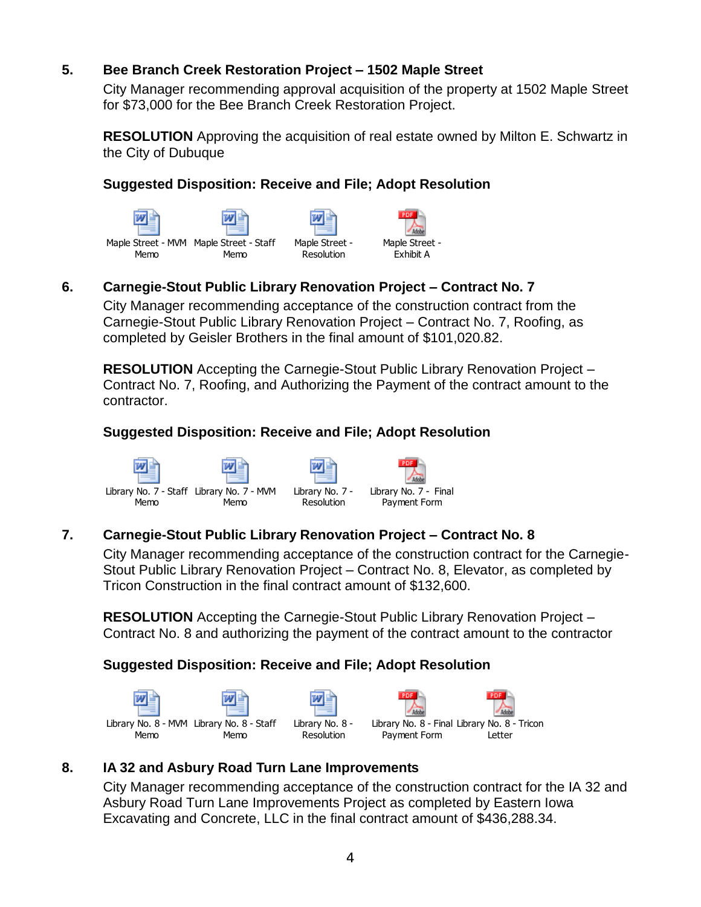# **5. Bee Branch Creek Restoration Project – 1502 Maple Street**

City Manager recommending approval acquisition of the property at 1502 Maple Street for \$73,000 for the Bee Branch Creek Restoration Project.

**RESOLUTION** Approving the acquisition of real estate owned by Milton E. Schwartz in the City of Dubuque

# **Suggested Disposition: Receive and File; Adopt Resolution**



# **6. Carnegie-Stout Public Library Renovation Project – Contract No. 7**

City Manager recommending acceptance of the construction contract from the Carnegie-Stout Public Library Renovation Project – Contract No. 7, Roofing, as completed by Geisler Brothers in the final amount of \$101,020.82.

**RESOLUTION** Accepting the Carnegie-Stout Public Library Renovation Project – Contract No. 7, Roofing, and Authorizing the Payment of the contract amount to the contractor.

# **Suggested Disposition: Receive and File; Adopt Resolution**



# **7. Carnegie-Stout Public Library Renovation Project – Contract No. 8**

City Manager recommending acceptance of the construction contract for the Carnegie-Stout Public Library Renovation Project – Contract No. 8, Elevator, as completed by Tricon Construction in the final contract amount of \$132,600.

**RESOLUTION** Accepting the Carnegie-Stout Public Library Renovation Project – Contract No. 8 and authorizing the payment of the contract amount to the contractor

# **Suggested Disposition: Receive and File; Adopt Resolution**



### **8. IA 32 and Asbury Road Turn Lane Improvements**

City Manager recommending acceptance of the construction contract for the IA 32 and Asbury Road Turn Lane Improvements Project as completed by Eastern Iowa Excavating and Concrete, LLC in the final contract amount of \$436,288.34.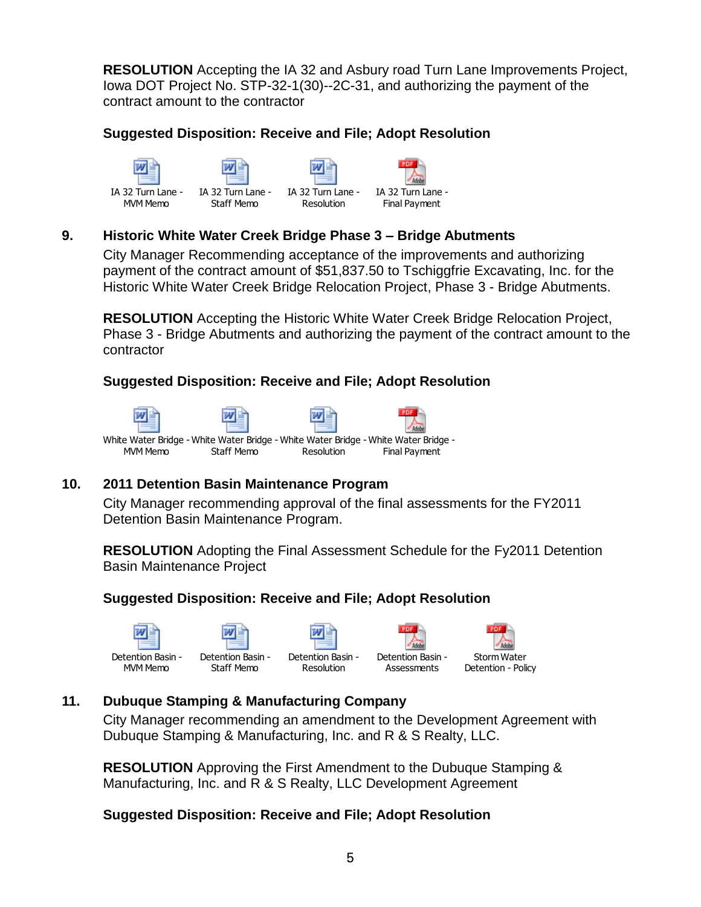**RESOLUTION** Accepting the IA 32 and Asbury road Turn Lane Improvements Project, Iowa DOT Project No. STP-32-1(30)--2C-31, and authorizing the payment of the contract amount to the contractor

# **Suggested Disposition: Receive and File; Adopt Resolution**

| IA 32 Turn Lane - | IA 32 Turn Lane - | IA 32 Turn Lane - | IA 32 Turn Lane - |
|-------------------|-------------------|-------------------|-------------------|
| MVM Memo          | Staff Memo        | Resolution        | Final Payment     |

# **9. Historic White Water Creek Bridge Phase 3 – Bridge Abutments**

City Manager Recommending acceptance of the improvements and authorizing payment of the contract amount of \$51,837.50 to Tschiggfrie Excavating, Inc. for the Historic White Water Creek Bridge Relocation Project, Phase 3 - Bridge Abutments.

**RESOLUTION** Accepting the Historic White Water Creek Bridge Relocation Project, Phase 3 - Bridge Abutments and authorizing the payment of the contract amount to the contractor

### **Suggested Disposition: Receive and File; Adopt Resolution**



#### **10. 2011 Detention Basin Maintenance Program**

City Manager recommending approval of the final assessments for the FY2011 Detention Basin Maintenance Program.

**RESOLUTION** Adopting the Final Assessment Schedule for the Fy2011 Detention Basin Maintenance Project

### **Suggested Disposition: Receive and File; Adopt Resolution**



### **11. Dubuque Stamping & Manufacturing Company**

City Manager recommending an amendment to the Development Agreement with Dubuque Stamping & Manufacturing, Inc. and R & S Realty, LLC.

**RESOLUTION** Approving the First Amendment to the Dubuque Stamping & Manufacturing, Inc. and R & S Realty, LLC Development Agreement

### **Suggested Disposition: Receive and File; Adopt Resolution**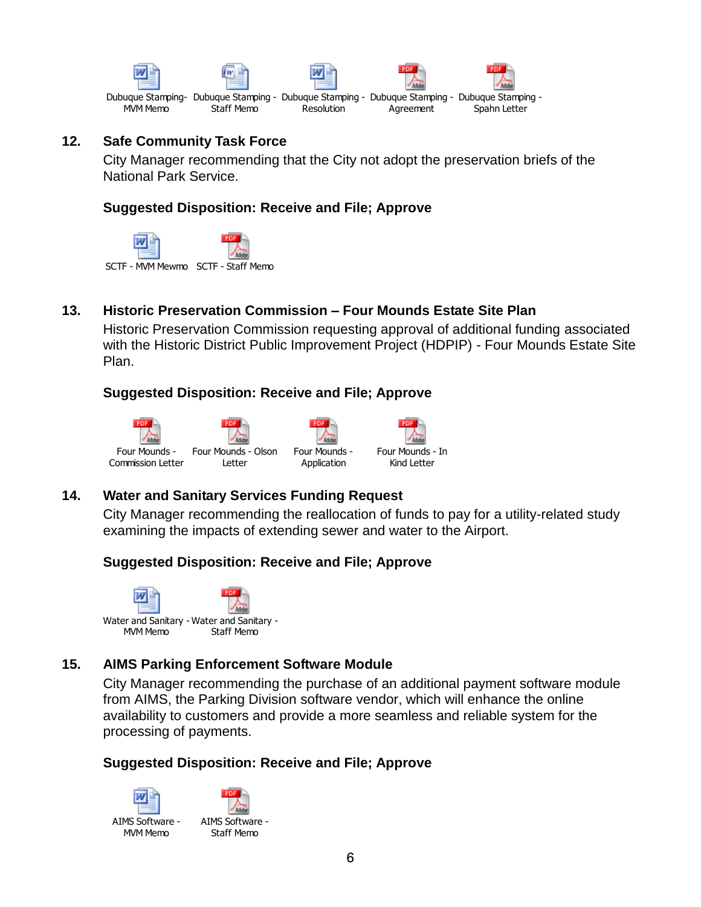

#### **12. Safe Community Task Force**

City Manager recommending that the City not adopt the preservation briefs of the National Park Service.

#### **Suggested Disposition: Receive and File; Approve**



SCTF - MVM Mewmo SCTF - Staff Memo

# **13. Historic Preservation Commission – Four Mounds Estate Site Plan**

Historic Preservation Commission requesting approval of additional funding associated with the Historic District Public Improvement Project (HDPIP) - Four Mounds Estate Site Plan.

#### **Suggested Disposition: Receive and File; Approve**



### **14. Water and Sanitary Services Funding Request**

City Manager recommending the reallocation of funds to pay for a utility-related study examining the impacts of extending sewer and water to the Airport.

### **Suggested Disposition: Receive and File; Approve**



### **15. AIMS Parking Enforcement Software Module**

City Manager recommending the purchase of an additional payment software module from AIMS, the Parking Division software vendor, which will enhance the online availability to customers and provide a more seamless and reliable system for the processing of payments.



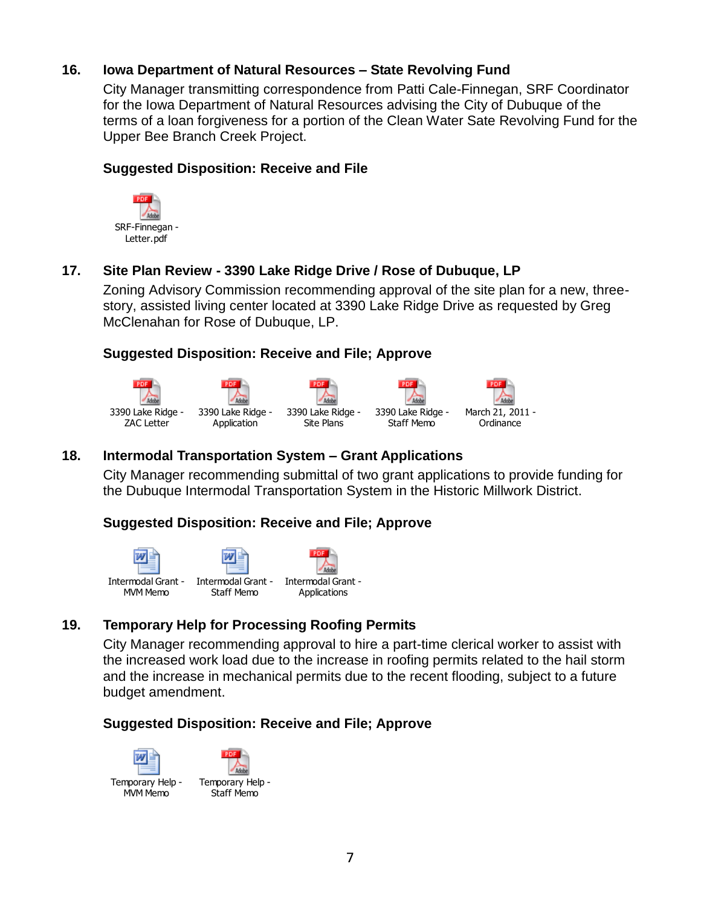# **16. Iowa Department of Natural Resources – State Revolving Fund**

City Manager transmitting correspondence from Patti Cale-Finnegan, SRF Coordinator for the Iowa Department of Natural Resources advising the City of Dubuque of the terms of a loan forgiveness for a portion of the Clean Water Sate Revolving Fund for the Upper Bee Branch Creek Project.

# **Suggested Disposition: Receive and File**



# **17. Site Plan Review - 3390 Lake Ridge Drive / Rose of Dubuque, LP**

Zoning Advisory Commission recommending approval of the site plan for a new, threestory, assisted living center located at 3390 Lake Ridge Drive as requested by Greg McClenahan for Rose of Dubuque, LP.

### **Suggested Disposition: Receive and File; Approve**



### **18. Intermodal Transportation System – Grant Applications**

City Manager recommending submittal of two grant applications to provide funding for the Dubuque Intermodal Transportation System in the Historic Millwork District.

### **Suggested Disposition: Receive and File; Approve**



### **19. Temporary Help for Processing Roofing Permits**

City Manager recommending approval to hire a part-time clerical worker to assist with the increased work load due to the increase in roofing permits related to the hail storm and the increase in mechanical permits due to the recent flooding, subject to a future budget amendment.

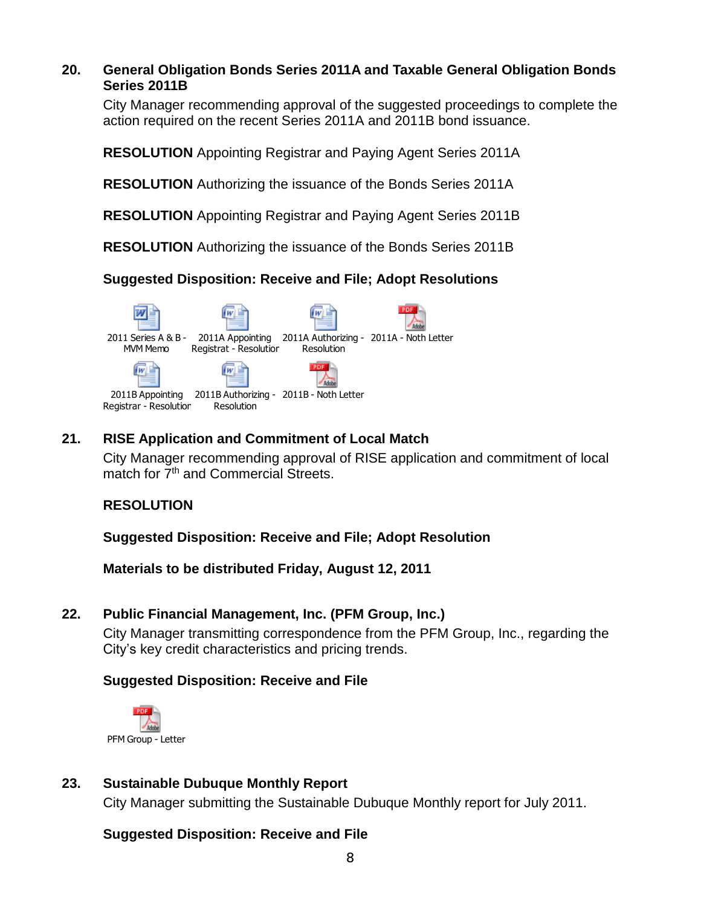#### **20. General Obligation Bonds Series 2011A and Taxable General Obligation Bonds Series 2011B**

City Manager recommending approval of the suggested proceedings to complete the action required on the recent Series 2011A and 2011B bond issuance.

**RESOLUTION** Appointing Registrar and Paying Agent Series 2011A

**RESOLUTION** Authorizing the issuance of the Bonds Series 2011A

**RESOLUTION** Appointing Registrar and Paying Agent Series 2011B

**RESOLUTION** Authorizing the issuance of the Bonds Series 2011B

**Suggested Disposition: Receive and File; Adopt Resolutions**



### **21. RISE Application and Commitment of Local Match**

City Manager recommending approval of RISE application and commitment of local match for  $7<sup>th</sup>$  and Commercial Streets.

### **RESOLUTION**

#### **Suggested Disposition: Receive and File; Adopt Resolution**

**Materials to be distributed Friday, August 12, 2011**

#### **22. Public Financial Management, Inc. (PFM Group, Inc.)**

City Manager transmitting correspondence from the PFM Group, Inc., regarding the City's key credit characteristics and pricing trends.

#### **Suggested Disposition: Receive and File**



#### **23. Sustainable Dubuque Monthly Report**

City Manager submitting the Sustainable Dubuque Monthly report for July 2011.

#### **Suggested Disposition: Receive and File**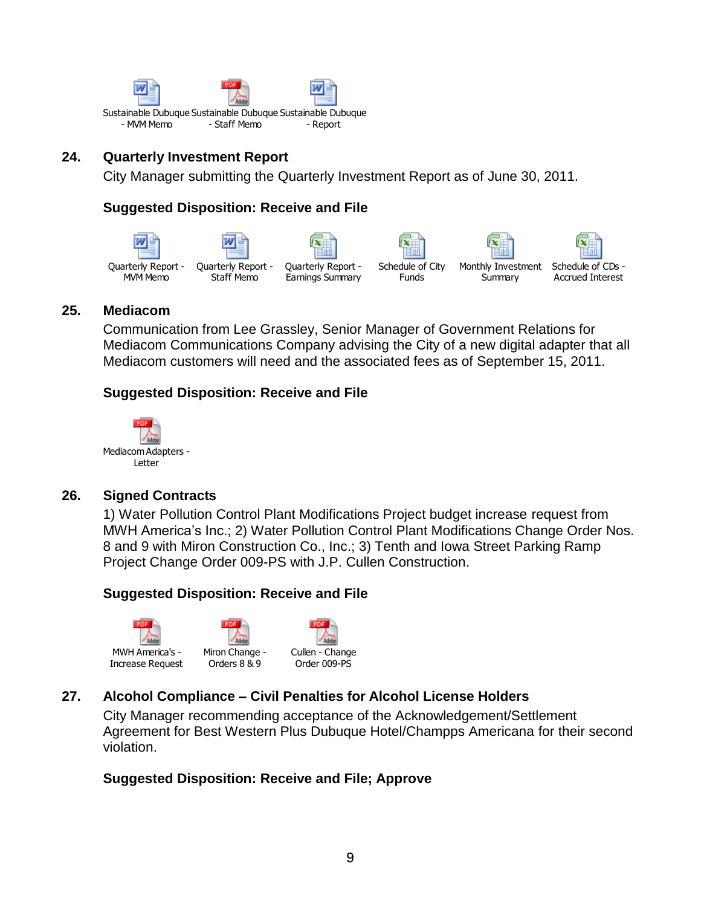

# **24. Quarterly Investment Report**

City Manager submitting the Quarterly Investment Report as of June 30, 2011.

#### **Suggested Disposition: Receive and File**



#### **25. Mediacom**

Communication from Lee Grassley, Senior Manager of Government Relations for Mediacom Communications Company advising the City of a new digital adapter that all Mediacom customers will need and the associated fees as of September 15, 2011.

### **Suggested Disposition: Receive and File**



### **26. Signed Contracts**

1) Water Pollution Control Plant Modifications Project budget increase request from MWH America's Inc.; 2) Water Pollution Control Plant Modifications Change Order Nos. 8 and 9 with Miron Construction Co., Inc.; 3) Tenth and Iowa Street Parking Ramp Project Change Order 009-PS with J.P. Cullen Construction.

### **Suggested Disposition: Receive and File**



### **27. Alcohol Compliance – Civil Penalties for Alcohol License Holders**

City Manager recommending acceptance of the Acknowledgement/Settlement Agreement for Best Western Plus Dubuque Hotel/Champps Americana for their second violation.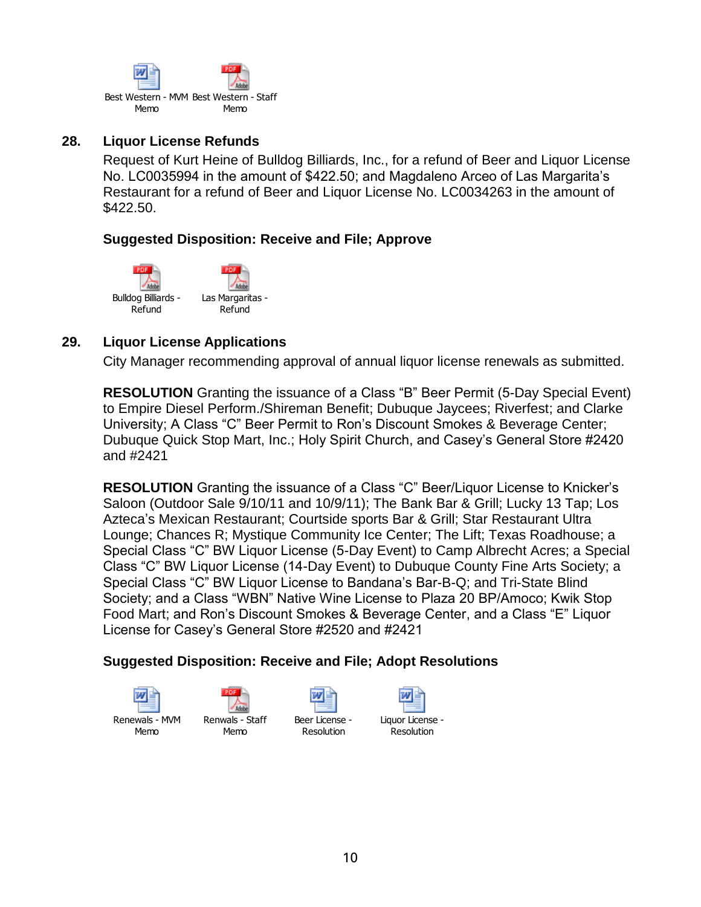

#### **28. Liquor License Refunds**

Request of Kurt Heine of Bulldog Billiards, Inc., for a refund of Beer and Liquor License No. LC0035994 in the amount of \$422.50; and Magdaleno Arceo of Las Margarita's Restaurant for a refund of Beer and Liquor License No. LC0034263 in the amount of \$422.50.

#### **Suggested Disposition: Receive and File; Approve**



#### **29. Liquor License Applications**

City Manager recommending approval of annual liquor license renewals as submitted.

**RESOLUTION** Granting the issuance of a Class "B" Beer Permit (5-Day Special Event) to Empire Diesel Perform./Shireman Benefit; Dubuque Jaycees; Riverfest; and Clarke University; A Class "C" Beer Permit to Ron's Discount Smokes & Beverage Center; Dubuque Quick Stop Mart, Inc.; Holy Spirit Church, and Casey's General Store #2420 and #2421

**RESOLUTION** Granting the issuance of a Class "C" Beer/Liquor License to Knicker's Saloon (Outdoor Sale 9/10/11 and 10/9/11); The Bank Bar & Grill; Lucky 13 Tap; Los Azteca's Mexican Restaurant; Courtside sports Bar & Grill; Star Restaurant Ultra Lounge; Chances R; Mystique Community Ice Center; The Lift; Texas Roadhouse; a Special Class "C" BW Liquor License (5-Day Event) to Camp Albrecht Acres; a Special Class "C" BW Liquor License (14-Day Event) to Dubuque County Fine Arts Society; a Special Class "C" BW Liquor License to Bandana's Bar-B-Q; and Tri-State Blind Society; and a Class "WBN" Native Wine License to Plaza 20 BP/Amoco; Kwik Stop Food Mart; and Ron's Discount Smokes & Beverage Center, and a Class "E" Liquor License for Casey's General Store #2520 and #2421

### **Suggested Disposition: Receive and File; Adopt Resolutions**





Memo



Resolution



Liquor License - Resolution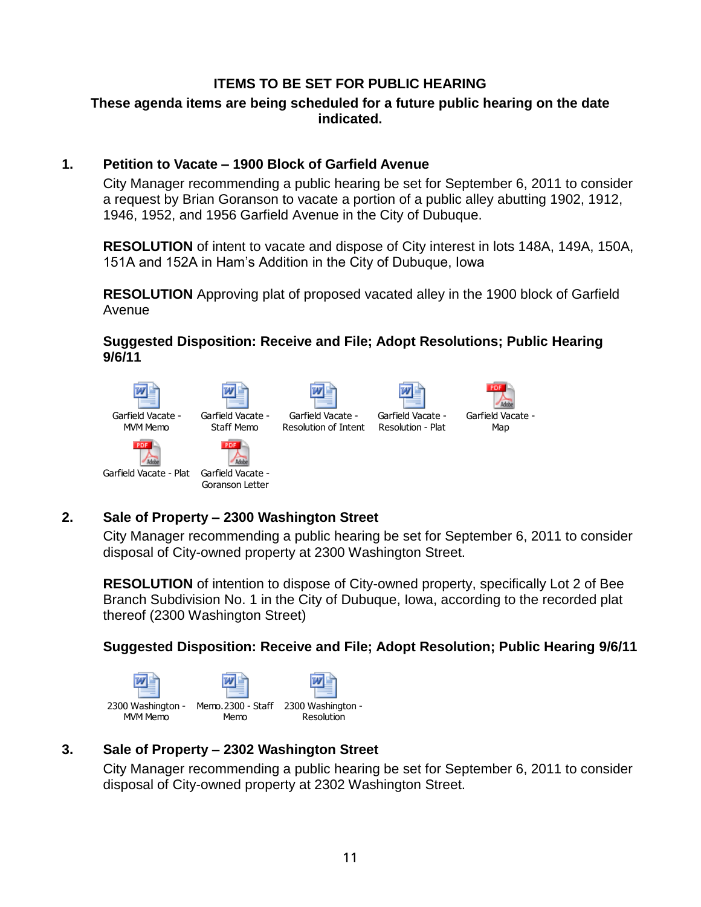# **ITEMS TO BE SET FOR PUBLIC HEARING**

#### **These agenda items are being scheduled for a future public hearing on the date indicated.**

#### **1. Petition to Vacate – 1900 Block of Garfield Avenue**

City Manager recommending a public hearing be set for September 6, 2011 to consider a request by Brian Goranson to vacate a portion of a public alley abutting 1902, 1912, 1946, 1952, and 1956 Garfield Avenue in the City of Dubuque.

**RESOLUTION** of intent to vacate and dispose of City interest in lots 148A, 149A, 150A, 151A and 152A in Ham's Addition in the City of Dubuque, Iowa

**RESOLUTION** Approving plat of proposed vacated alley in the 1900 block of Garfield Avenue

#### **Suggested Disposition: Receive and File; Adopt Resolutions; Public Hearing 9/6/11**



### **2. Sale of Property – 2300 Washington Street**

City Manager recommending a public hearing be set for September 6, 2011 to consider disposal of City-owned property at 2300 Washington Street.

**RESOLUTION** of intention to dispose of City-owned property, specifically Lot 2 of Bee Branch Subdivision No. 1 in the City of Dubuque, Iowa, according to the recorded plat thereof (2300 Washington Street)

### **Suggested Disposition: Receive and File; Adopt Resolution; Public Hearing 9/6/11**



### **3. Sale of Property – 2302 Washington Street**

City Manager recommending a public hearing be set for September 6, 2011 to consider disposal of City-owned property at 2302 Washington Street.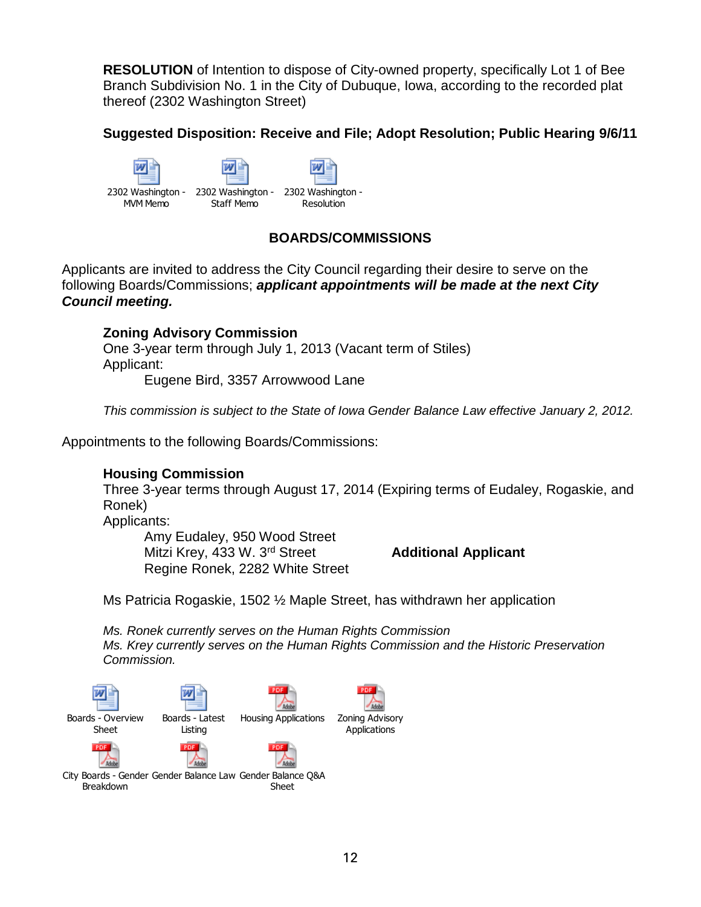**RESOLUTION** of Intention to dispose of City-owned property, specifically Lot 1 of Bee Branch Subdivision No. 1 in the City of Dubuque, Iowa, according to the recorded plat thereof (2302 Washington Street)

### **Suggested Disposition: Receive and File; Adopt Resolution; Public Hearing 9/6/11**



# **BOARDS/COMMISSIONS**

Applicants are invited to address the City Council regarding their desire to serve on the following Boards/Commissions; *applicant appointments will be made at the next City Council meeting.*

#### **Zoning Advisory Commission**

One 3-year term through July 1, 2013 (Vacant term of Stiles) Applicant:

Eugene Bird, 3357 Arrowwood Lane

*This commission is subject to the State of Iowa Gender Balance Law effective January 2, 2012.* 

Appointments to the following Boards/Commissions:

#### **Housing Commission**

Three 3-year terms through August 17, 2014 (Expiring terms of Eudaley, Rogaskie, and Ronek)

Applicants:

Amy Eudaley, 950 Wood Street Mitzi Krey, 433 W. 3rd Street **Additional Applicant** Regine Ronek, 2282 White Street

Ms Patricia Rogaskie, 1502 ½ Maple Street, has withdrawn her application

*Ms. Ronek currently serves on the Human Rights Commission Ms. Krey currently serves on the Human Rights Commission and the Historic Preservation Commission.*

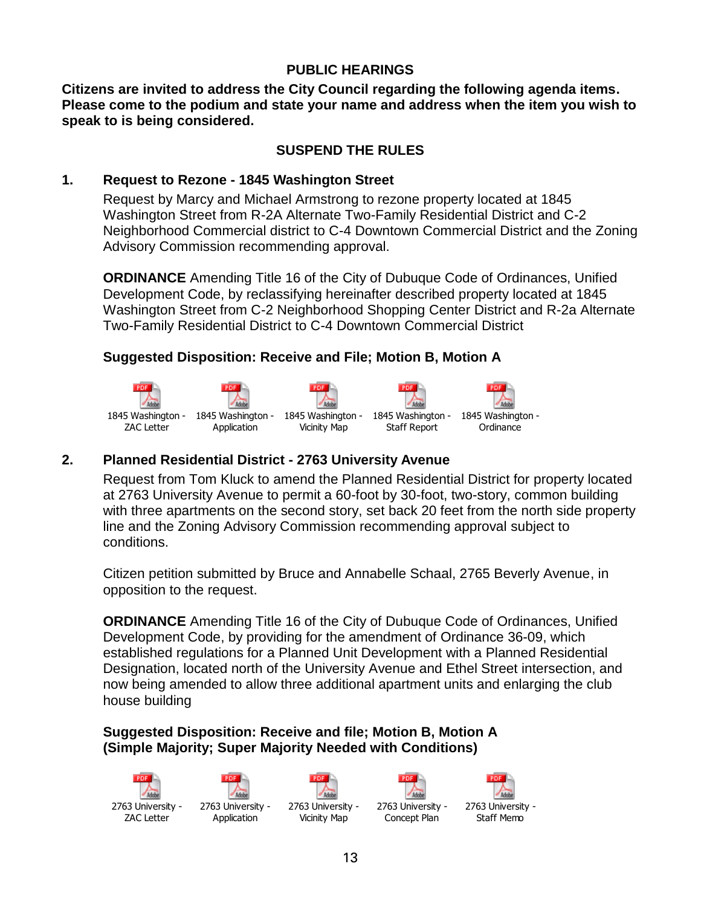## **PUBLIC HEARINGS**

**Citizens are invited to address the City Council regarding the following agenda items. Please come to the podium and state your name and address when the item you wish to speak to is being considered.**

# **SUSPEND THE RULES**

# **1. Request to Rezone - 1845 Washington Street**

Request by Marcy and Michael Armstrong to rezone property located at 1845 Washington Street from R-2A Alternate Two-Family Residential District and C-2 Neighborhood Commercial district to C-4 Downtown Commercial District and the Zoning Advisory Commission recommending approval.

**ORDINANCE** Amending Title 16 of the City of Dubuque Code of Ordinances, Unified Development Code, by reclassifying hereinafter described property located at 1845 Washington Street from C-2 Neighborhood Shopping Center District and R-2a Alternate Two-Family Residential District to C-4 Downtown Commercial District

# **Suggested Disposition: Receive and File; Motion B, Motion A**



# **2. Planned Residential District - 2763 University Avenue**

Request from Tom Kluck to amend the Planned Residential District for property located at 2763 University Avenue to permit a 60-foot by 30-foot, two-story, common building with three apartments on the second story, set back 20 feet from the north side property line and the Zoning Advisory Commission recommending approval subject to conditions.

Citizen petition submitted by Bruce and Annabelle Schaal, 2765 Beverly Avenue, in opposition to the request.

**ORDINANCE** Amending Title 16 of the City of Dubuque Code of Ordinances, Unified Development Code, by providing for the amendment of Ordinance 36-09, which established regulations for a Planned Unit Development with a Planned Residential Designation, located north of the University Avenue and Ethel Street intersection, and now being amended to allow three additional apartment units and enlarging the club house building

### **Suggested Disposition: Receive and file; Motion B, Motion A (Simple Majority; Super Majority Needed with Conditions)**

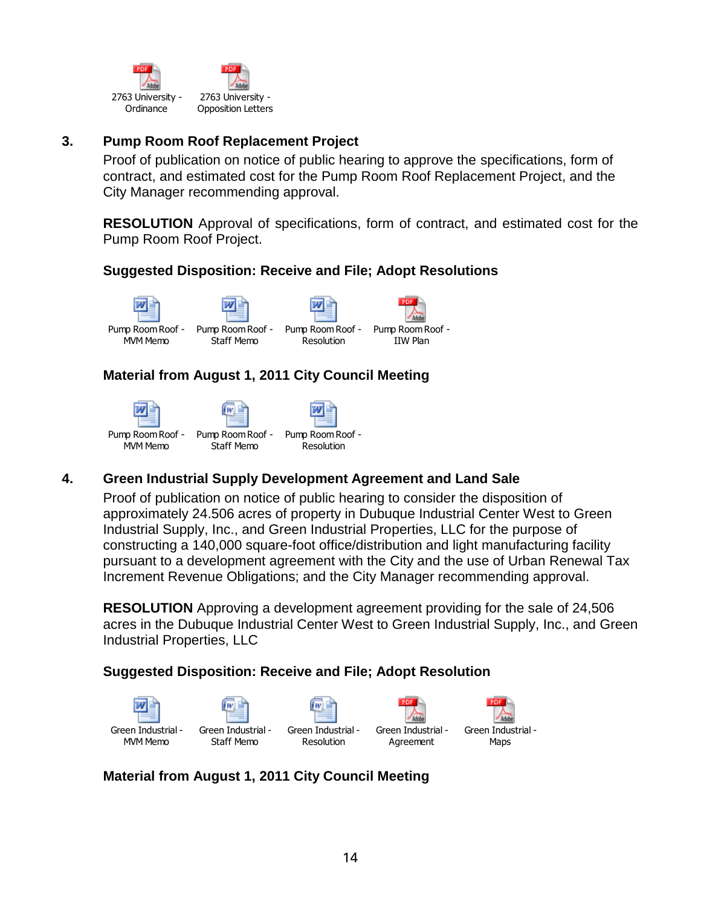

### **3. Pump Room Roof Replacement Project**

Proof of publication on notice of public hearing to approve the specifications, form of contract, and estimated cost for the Pump Room Roof Replacement Project, and the City Manager recommending approval.

**RESOLUTION** Approval of specifications, form of contract, and estimated cost for the Pump Room Roof Project.

#### **Suggested Disposition: Receive and File; Adopt Resolutions**



# **Material from August 1, 2011 City Council Meeting**





#### **4. Green Industrial Supply Development Agreement and Land Sale**

w

Proof of publication on notice of public hearing to consider the disposition of approximately 24.506 acres of property in Dubuque Industrial Center West to Green Industrial Supply, Inc., and Green Industrial Properties, LLC for the purpose of constructing a 140,000 square-foot office/distribution and light manufacturing facility pursuant to a development agreement with the City and the use of Urban Renewal Tax Increment Revenue Obligations; and the City Manager recommending approval.

**RESOLUTION** Approving a development agreement providing for the sale of 24,506 acres in the Dubuque Industrial Center West to Green Industrial Supply, Inc., and Green Industrial Properties, LLC

### **Suggested Disposition: Receive and File; Adopt Resolution**



#### **Material from August 1, 2011 City Council Meeting**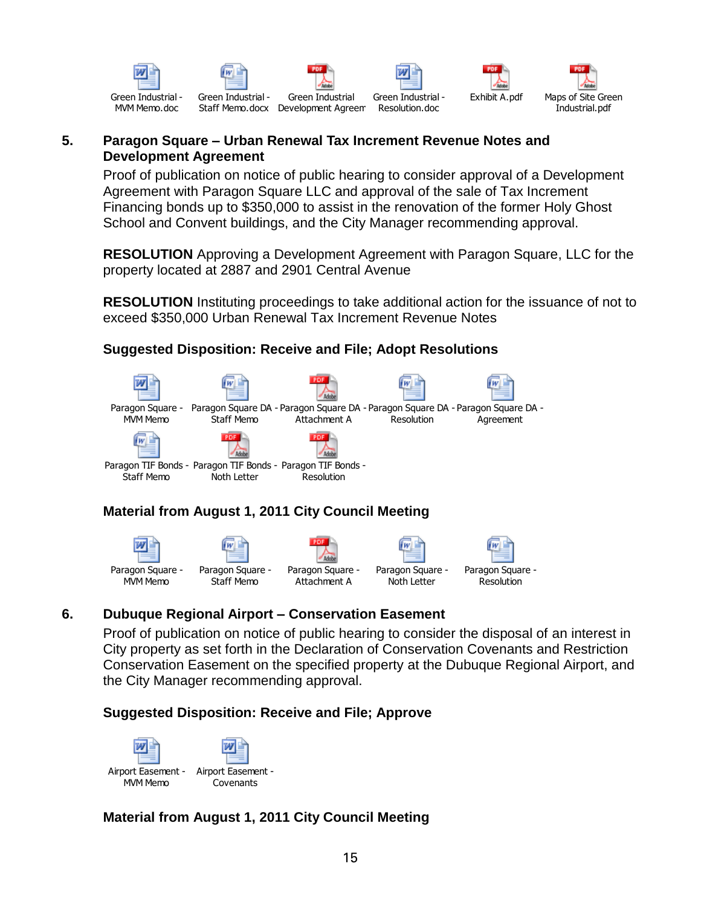

#### **5. Paragon Square – Urban Renewal Tax Increment Revenue Notes and Development Agreement**

Proof of publication on notice of public hearing to consider approval of a Development Agreement with Paragon Square LLC and approval of the sale of Tax Increment Financing bonds up to \$350,000 to assist in the renovation of the former Holy Ghost School and Convent buildings, and the City Manager recommending approval.

**RESOLUTION** Approving a Development Agreement with Paragon Square, LLC for the property located at 2887 and 2901 Central Avenue

**RESOLUTION** Instituting proceedings to take additional action for the issuance of not to exceed \$350,000 Urban Renewal Tax Increment Revenue Notes

# **Suggested Disposition: Receive and File; Adopt Resolutions**



# **Material from August 1, 2011 City Council Meeting**



### **6. Dubuque Regional Airport – Conservation Easement**

Proof of publication on notice of public hearing to consider the disposal of an interest in City property as set forth in the Declaration of Conservation Covenants and Restriction Conservation Easement on the specified property at the Dubuque Regional Airport, and the City Manager recommending approval.

### **Suggested Disposition: Receive and File; Approve**



# **Material from August 1, 2011 City Council Meeting**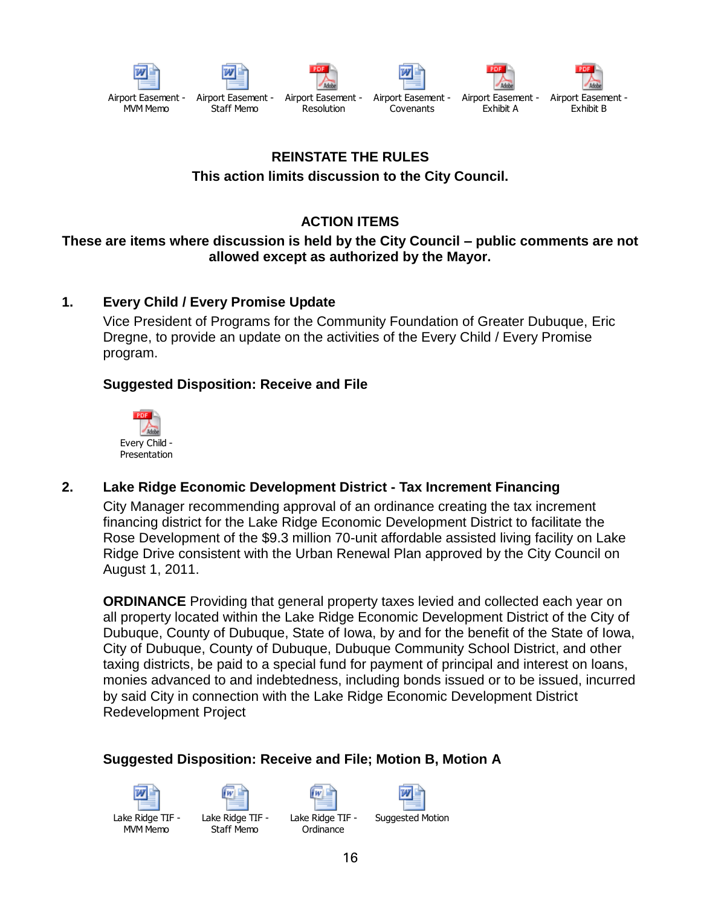

### **REINSTATE THE RULES**

# **This action limits discussion to the City Council.**

# **ACTION ITEMS**

#### **These are items where discussion is held by the City Council – public comments are not allowed except as authorized by the Mayor.**

#### **1. Every Child / Every Promise Update**

Vice President of Programs for the Community Foundation of Greater Dubuque, Eric Dregne, to provide an update on the activities of the Every Child / Every Promise program.

#### **Suggested Disposition: Receive and File**



**2. Lake Ridge Economic Development District - Tax Increment Financing**

City Manager recommending approval of an ordinance creating the tax increment financing district for the Lake Ridge Economic Development District to facilitate the Rose Development of the \$9.3 million 70-unit affordable assisted living facility on Lake Ridge Drive consistent with the Urban Renewal Plan approved by the City Council on August 1, 2011.

**ORDINANCE** Providing that general property taxes levied and collected each year on all property located within the Lake Ridge Economic Development District of the City of Dubuque, County of Dubuque, State of Iowa, by and for the benefit of the State of Iowa, City of Dubuque, County of Dubuque, Dubuque Community School District, and other taxing districts, be paid to a special fund for payment of principal and interest on loans, monies advanced to and indebtedness, including bonds issued or to be issued, incurred by said City in connection with the Lake Ridge Economic Development District Redevelopment Project

#### **Suggested Disposition: Receive and File; Motion B, Motion A**





Staff Memo

Lake Ridge TIF - **Ordinance** 



Suggested Motion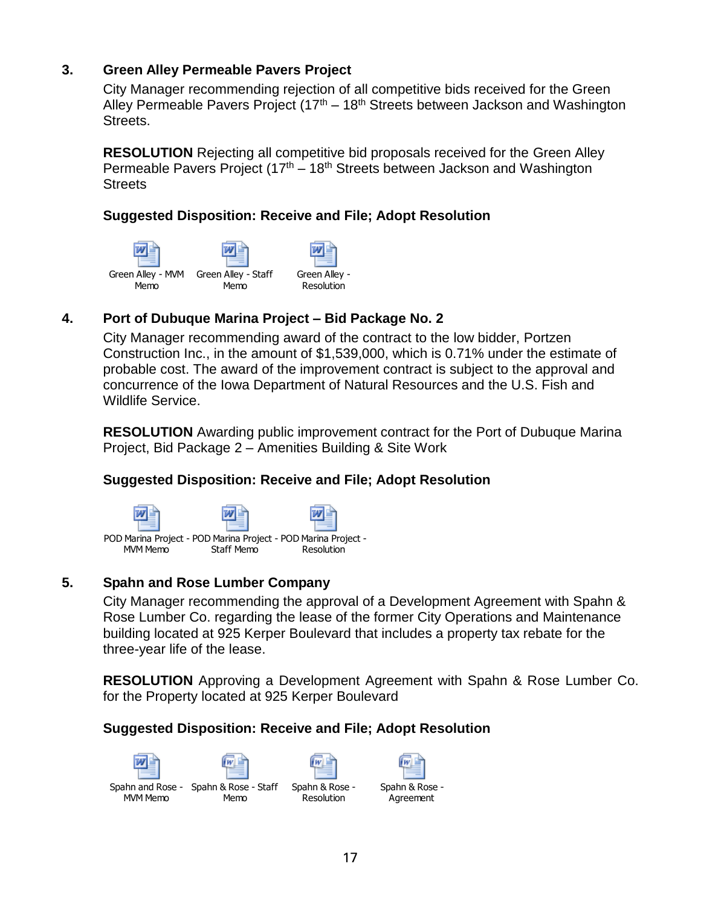### **3. Green Alley Permeable Pavers Project**

City Manager recommending rejection of all competitive bids received for the Green Alley Permeable Pavers Project  $(17<sup>th</sup> - 18<sup>th</sup>$  Streets between Jackson and Washington Streets.

**RESOLUTION** Rejecting all competitive bid proposals received for the Green Alley Permeable Pavers Project  $(17<sup>th</sup> - 18<sup>th</sup>$  Streets between Jackson and Washington **Streets** 

#### **Suggested Disposition: Receive and File; Adopt Resolution**



#### **4. Port of Dubuque Marina Project – Bid Package No. 2**

City Manager recommending award of the contract to the low bidder, Portzen Construction Inc., in the amount of \$1,539,000, which is 0.71% under the estimate of probable cost. The award of the improvement contract is subject to the approval and concurrence of the Iowa Department of Natural Resources and the U.S. Fish and Wildlife Service.

**RESOLUTION** Awarding public improvement contract for the Port of Dubuque Marina Project, Bid Package 2 – Amenities Building & Site Work

#### **Suggested Disposition: Receive and File; Adopt Resolution**



#### **5. Spahn and Rose Lumber Company**

City Manager recommending the approval of a Development Agreement with Spahn & Rose Lumber Co. regarding the lease of the former City Operations and Maintenance building located at 925 Kerper Boulevard that includes a property tax rebate for the three-year life of the lease.

**RESOLUTION** Approving a Development Agreement with Spahn & Rose Lumber Co. for the Property located at 925 Kerper Boulevard

#### **Suggested Disposition: Receive and File; Adopt Resolution**

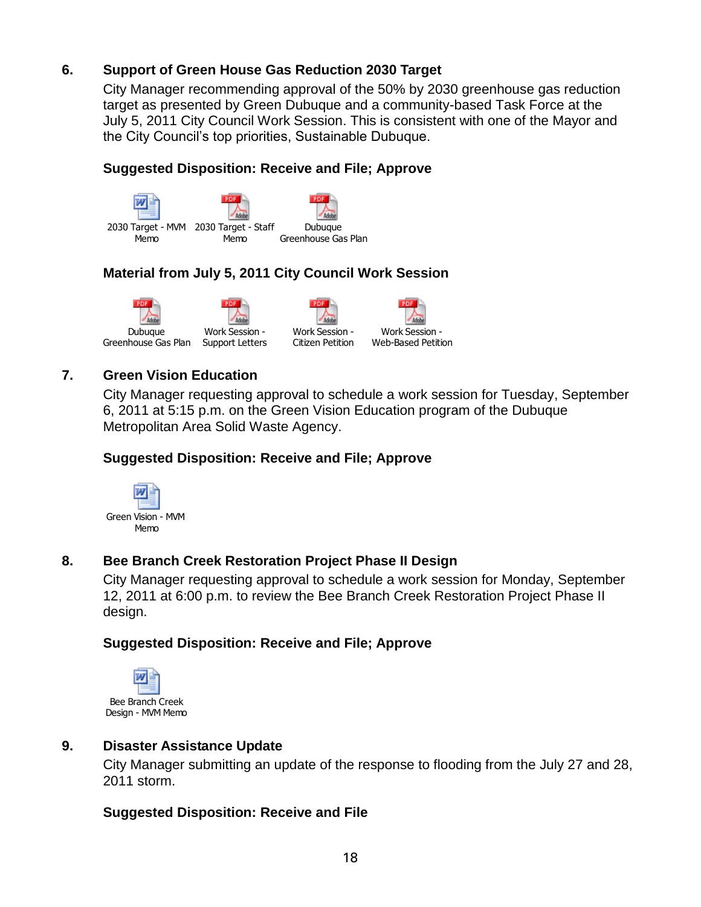# **6. Support of Green House Gas Reduction 2030 Target**

City Manager recommending approval of the 50% by 2030 greenhouse gas reduction target as presented by Green Dubuque and a community-based Task Force at the July 5, 2011 City Council Work Session. This is consistent with one of the Mayor and the City Council's top priorities, Sustainable Dubuque.

#### **Suggested Disposition: Receive and File; Approve**



# **Material from July 5, 2011 City Council Work Session**



#### **7. Green Vision Education**

City Manager requesting approval to schedule a work session for Tuesday, September 6, 2011 at 5:15 p.m. on the Green Vision Education program of the Dubuque Metropolitan Area Solid Waste Agency.

#### **Suggested Disposition: Receive and File; Approve**



### **8. Bee Branch Creek Restoration Project Phase II Design**

City Manager requesting approval to schedule a work session for Monday, September 12, 2011 at 6:00 p.m. to review the Bee Branch Creek Restoration Project Phase II design.

### **Suggested Disposition: Receive and File; Approve**



#### **9. Disaster Assistance Update**

City Manager submitting an update of the response to flooding from the July 27 and 28, 2011 storm.

### **Suggested Disposition: Receive and File**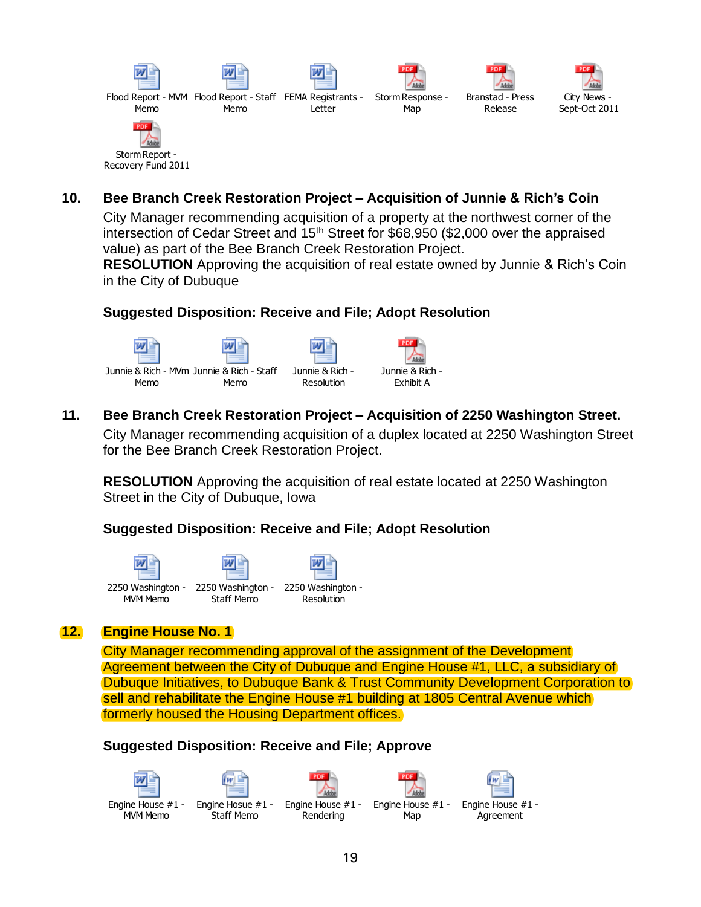

# **10. Bee Branch Creek Restoration Project – Acquisition of Junnie & Rich's Coin**

City Manager recommending acquisition of a property at the northwest corner of the intersection of Cedar Street and  $15<sup>th</sup>$  Street for \$68,950 (\$2,000 over the appraised value) as part of the Bee Branch Creek Restoration Project.

**RESOLUTION** Approving the acquisition of real estate owned by Junnie & Rich's Coin in the City of Dubuque

### **Suggested Disposition: Receive and File; Adopt Resolution**



### **11. Bee Branch Creek Restoration Project – Acquisition of 2250 Washington Street.**

City Manager recommending acquisition of a duplex located at 2250 Washington Street for the Bee Branch Creek Restoration Project.

**RESOLUTION** Approving the acquisition of real estate located at 2250 Washington Street in the City of Dubuque, Iowa

### **Suggested Disposition: Receive and File; Adopt Resolution**



### **12. Engine House No. 1**

City Manager recommending approval of the assignment of the Development Agreement between the City of Dubuque and Engine House #1, LLC, a subsidiary of Dubuque Initiatives, to Dubuque Bank & Trust Community Development Corporation to sell and rehabilitate the Engine House #1 building at 1805 Central Avenue which formerly housed the Housing Department offices.

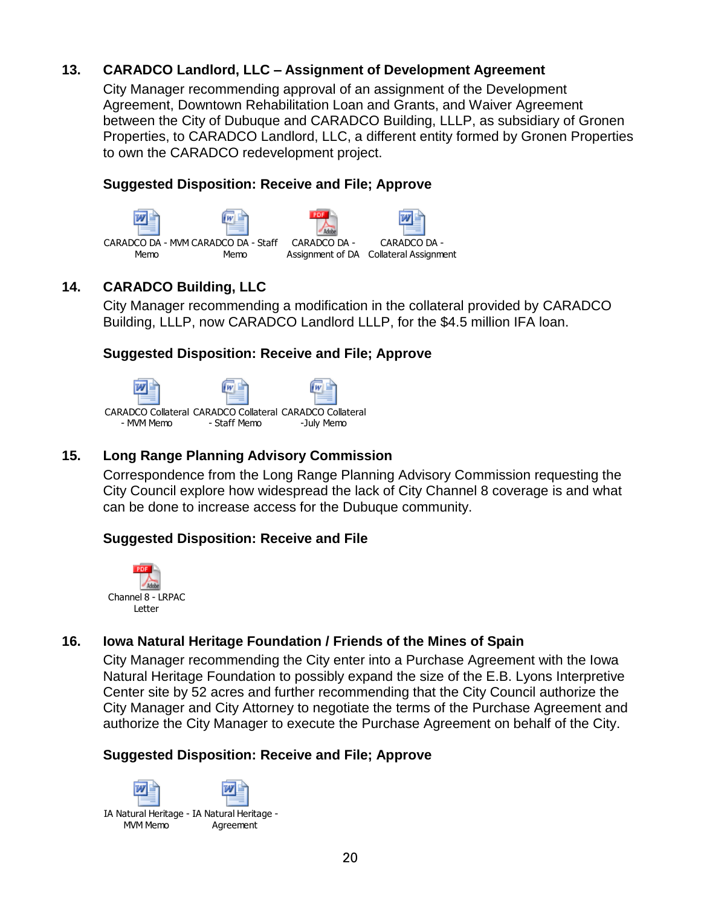# **13. CARADCO Landlord, LLC – Assignment of Development Agreement**

City Manager recommending approval of an assignment of the Development Agreement, Downtown Rehabilitation Loan and Grants, and Waiver Agreement between the City of Dubuque and CARADCO Building, LLLP, as subsidiary of Gronen Properties, to CARADCO Landlord, LLC, a different entity formed by Gronen Properties to own the CARADCO redevelopment project.

#### **Suggested Disposition: Receive and File; Approve**



# **14. CARADCO Building, LLC**

City Manager recommending a modification in the collateral provided by CARADCO Building, LLLP, now CARADCO Landlord LLLP, for the \$4.5 million IFA loan.

### **Suggested Disposition: Receive and File; Approve**



### **15. Long Range Planning Advisory Commission**

Correspondence from the Long Range Planning Advisory Commission requesting the City Council explore how widespread the lack of City Channel 8 coverage is and what can be done to increase access for the Dubuque community.

#### **Suggested Disposition: Receive and File**



### **16. Iowa Natural Heritage Foundation / Friends of the Mines of Spain**

City Manager recommending the City enter into a Purchase Agreement with the Iowa Natural Heritage Foundation to possibly expand the size of the E.B. Lyons Interpretive Center site by 52 acres and further recommending that the City Council authorize the City Manager and City Attorney to negotiate the terms of the Purchase Agreement and authorize the City Manager to execute the Purchase Agreement on behalf of the City.